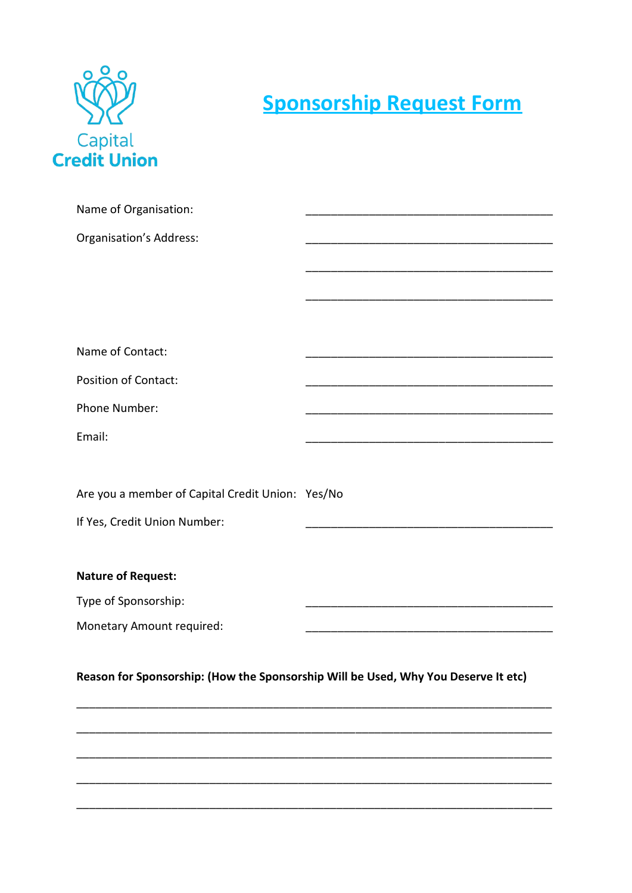

## **Sponsorship Request Form**

| Name of Organisation:                                                              |  |
|------------------------------------------------------------------------------------|--|
| <b>Organisation's Address:</b>                                                     |  |
|                                                                                    |  |
|                                                                                    |  |
|                                                                                    |  |
|                                                                                    |  |
| Name of Contact:                                                                   |  |
| <b>Position of Contact:</b>                                                        |  |
| Phone Number:                                                                      |  |
| Email:                                                                             |  |
|                                                                                    |  |
|                                                                                    |  |
| Are you a member of Capital Credit Union: Yes/No                                   |  |
| If Yes, Credit Union Number:                                                       |  |
|                                                                                    |  |
| <b>Nature of Request:</b>                                                          |  |
| Type of Sponsorship:                                                               |  |
| Monetary Amount required:                                                          |  |
|                                                                                    |  |
| Reason for Sponsorship: (How the Sponsorship Will be Used, Why You Deserve It etc) |  |
|                                                                                    |  |
|                                                                                    |  |
|                                                                                    |  |